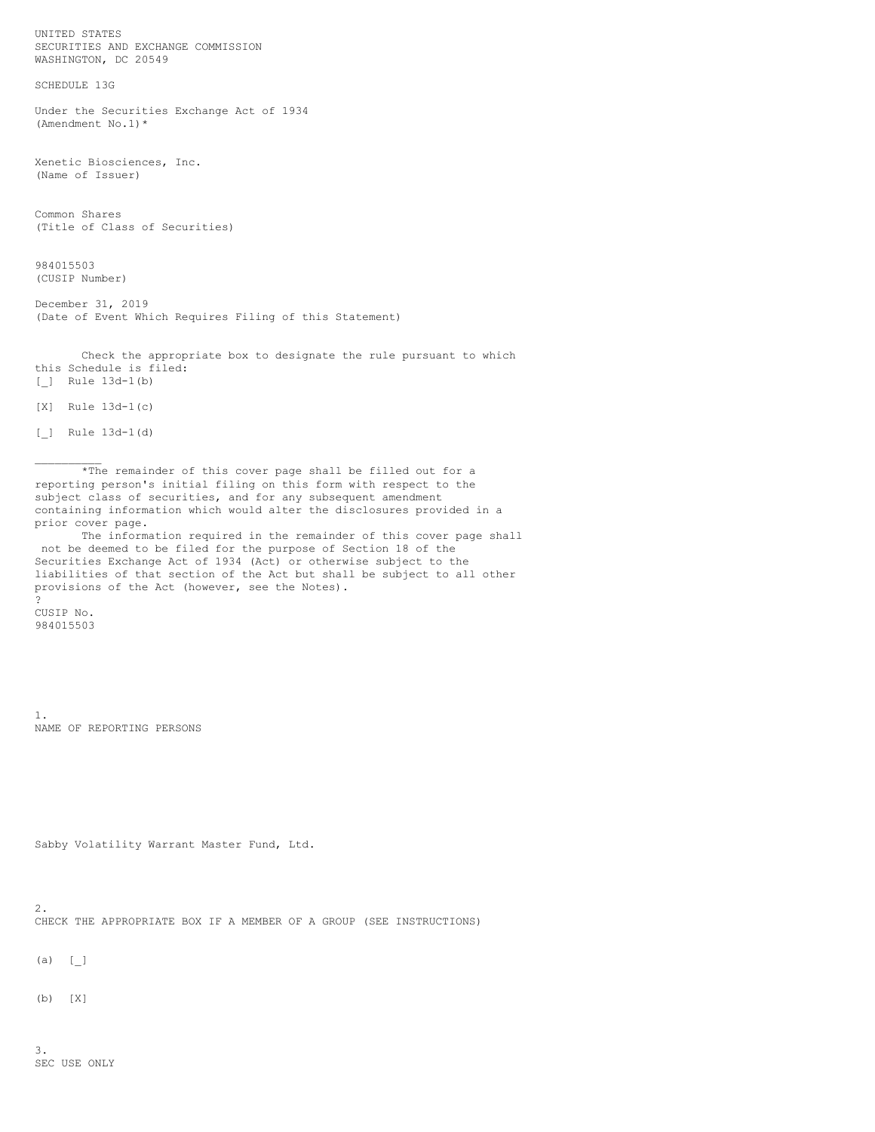UNITED STATES SECURITIES AND EXCHANGE COMMISSION WASHINGTON, DC 20549 SCHEDULE 13G Under the Securities Exchange Act of 1934 (Amendment No.1)\* Xenetic Biosciences, Inc. (Name of Issuer) Common Shares (Title of Class of Securities) 984015503 (CUSIP Number) December 31, 2019 (Date of Event Which Requires Filing of this Statement) Check the appropriate box to designate the rule pursuant to which this Schedule is filed: [\_] Rule 13d-1(b) [X] Rule 13d-1(c) [\_] Rule 13d-1(d)  $\mathcal{L}=\mathcal{L}$ \*The remainder of this cover page shall be filled out for a reporting person's initial filing on this form with respect to the subject class of securities, and for any subsequent amendment containing information which would alter the disclosures provided in a prior cover page. The information required in the remainder of this cover page shall not be deemed to be filed for the purpose of Section 18 of the Securities Exchange Act of 1934 (Act) or otherwise subject to the liabilities of that section of the Act but shall be subject to all other provisions of the Act (however, see the Notes). ? CUSIP No. 984015503 1. NAME OF REPORTING PERSONS Sabby Volatility Warrant Master Fund, Ltd. 2. CHECK THE APPROPRIATE BOX IF A MEMBER OF A GROUP (SEE INSTRUCTIONS)  $(a) [$ (b) [X]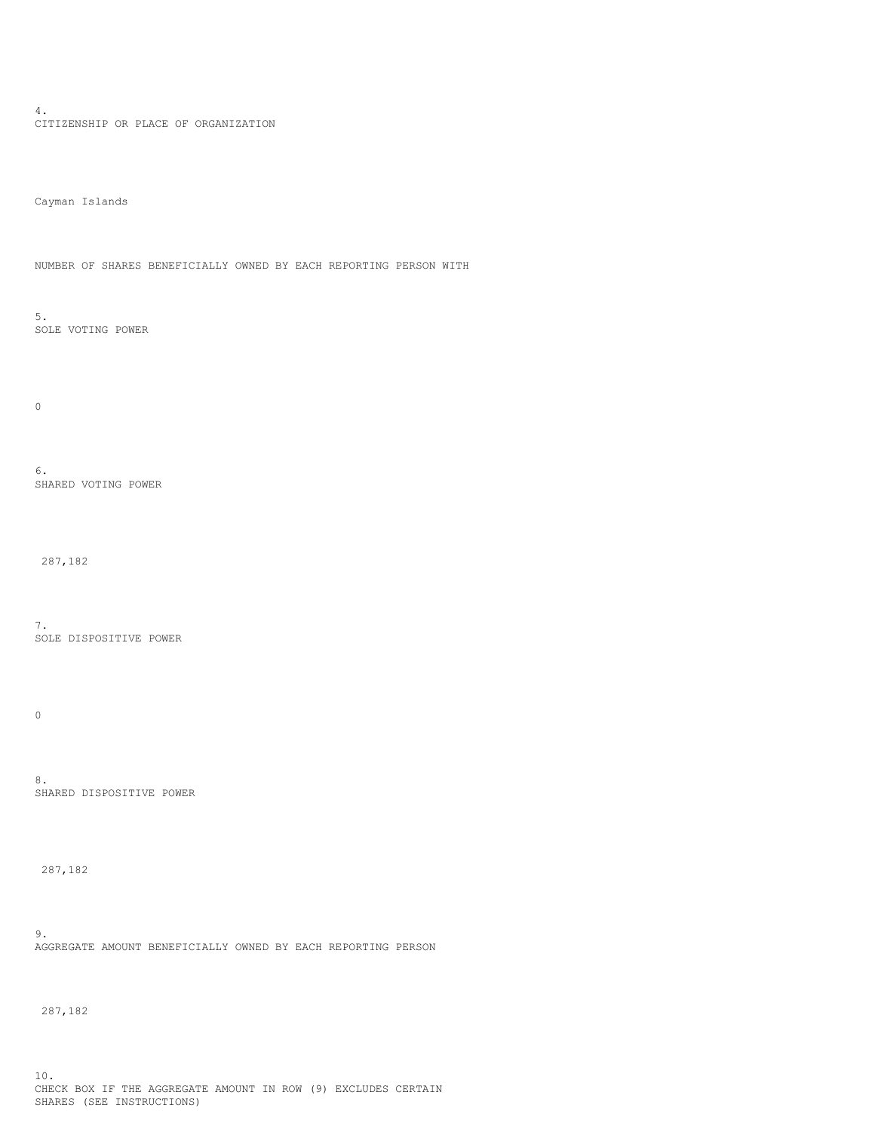4. CITIZENSHIP OR PLACE OF ORGANIZATION

Cayman Islands

NUMBER OF SHARES BENEFICIALLY OWNED BY EACH REPORTING PERSON WITH

5. SOLE VOTING POWER

0

6. SHARED VOTING POWER

287,182

7. SOLE DISPOSITIVE POWER

 $\mathbf 0$ 

8. SHARED DISPOSITIVE POWER

287,182

9. AGGREGATE AMOUNT BENEFICIALLY OWNED BY EACH REPORTING PERSON

287,182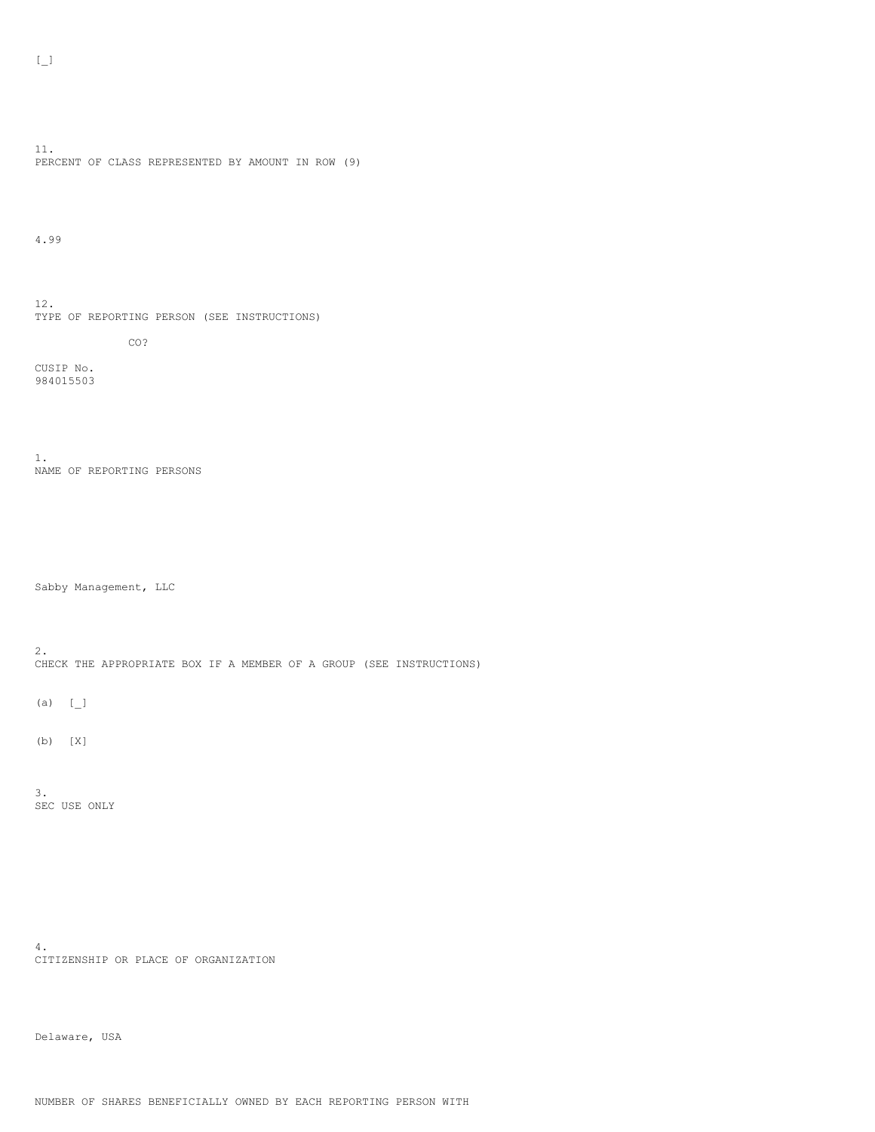11. PERCENT OF CLASS REPRESENTED BY AMOUNT IN ROW (9)

4.99

12. TYPE OF REPORTING PERSON (SEE INSTRUCTIONS)

CO?

CUSIP No. 984015503

1. NAME OF REPORTING PERSONS

Sabby Management, LLC

2. CHECK THE APPROPRIATE BOX IF A MEMBER OF A GROUP (SEE INSTRUCTIONS)

(a)  $[$   $]$ 

(b) [X]

3. SEC USE ONLY

4. CITIZENSHIP OR PLACE OF ORGANIZATION

Delaware, USA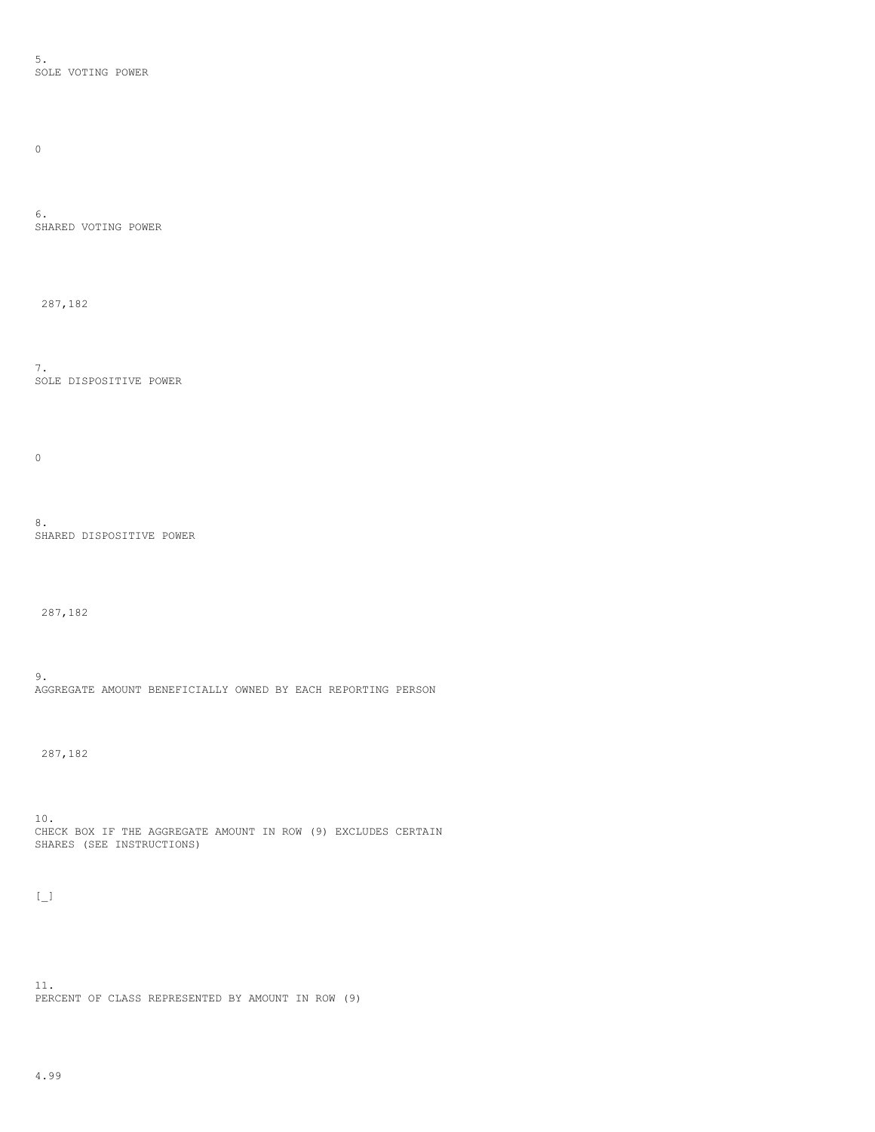5. SOLE VOTING POWER

 $\hbox{O}$ 

6. SHARED VOTING POWER

287,182

7. SOLE DISPOSITIVE POWER

 $\mathbf 0$ 

8. SHARED DISPOSITIVE POWER

287,182

9. AGGREGATE AMOUNT BENEFICIALLY OWNED BY EACH REPORTING PERSON

287,182

10. CHECK BOX IF THE AGGREGATE AMOUNT IN ROW (9) EXCLUDES CERTAIN SHARES (SEE INSTRUCTIONS)

 $\left[\begin{smallmatrix}\phantom{-}1\\1\end{smallmatrix}\right]$ 

11. PERCENT OF CLASS REPRESENTED BY AMOUNT IN ROW (9)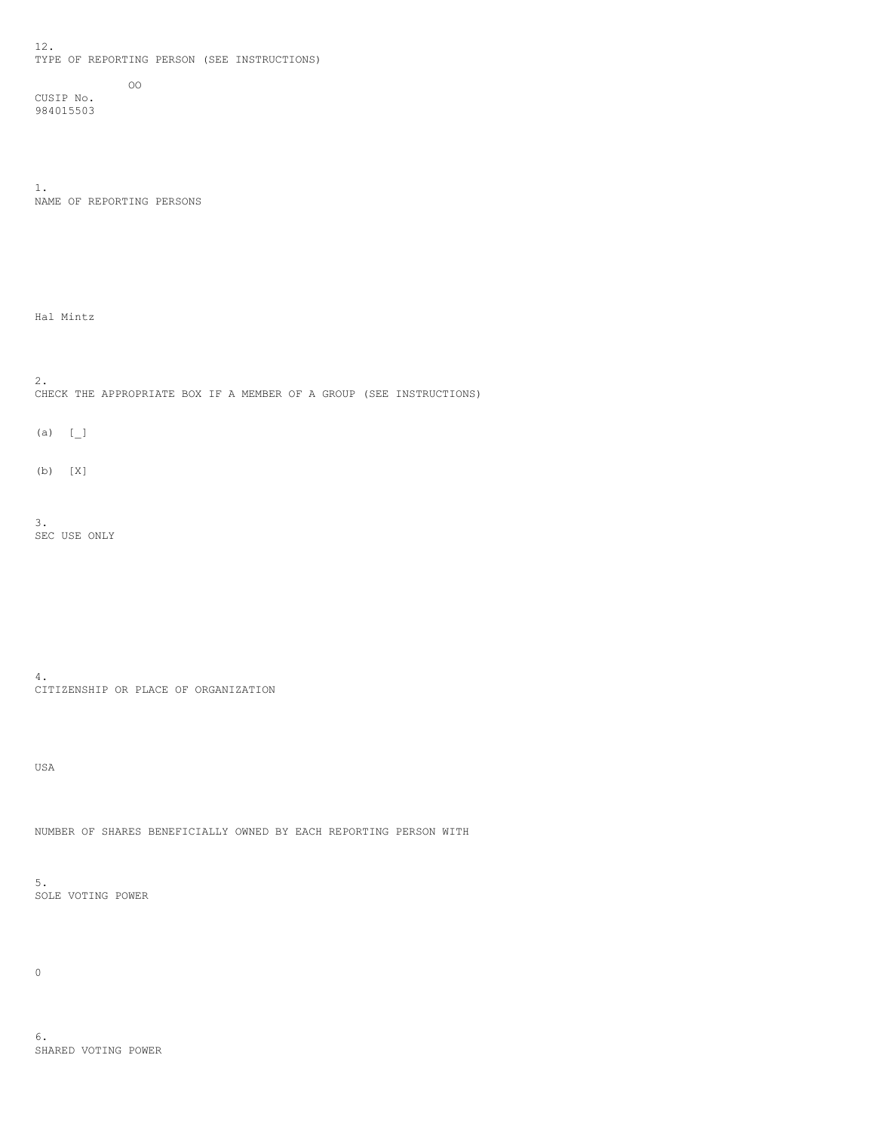12. TYPE OF REPORTING PERSON (SEE INSTRUCTIONS)

CUSIP No. 984015503

1. NAME OF REPORTING PERSONS

OO

Hal Mintz

2. CHECK THE APPROPRIATE BOX IF A MEMBER OF A GROUP (SEE INSTRUCTIONS)

 $(a)$   $[\ ]$ 

(b) [X]

3. SEC USE ONLY

4. CITIZENSHIP OR PLACE OF ORGANIZATION

USA

NUMBER OF SHARES BENEFICIALLY OWNED BY EACH REPORTING PERSON WITH

5. SOLE VOTING POWER

 $\mathsf{O}$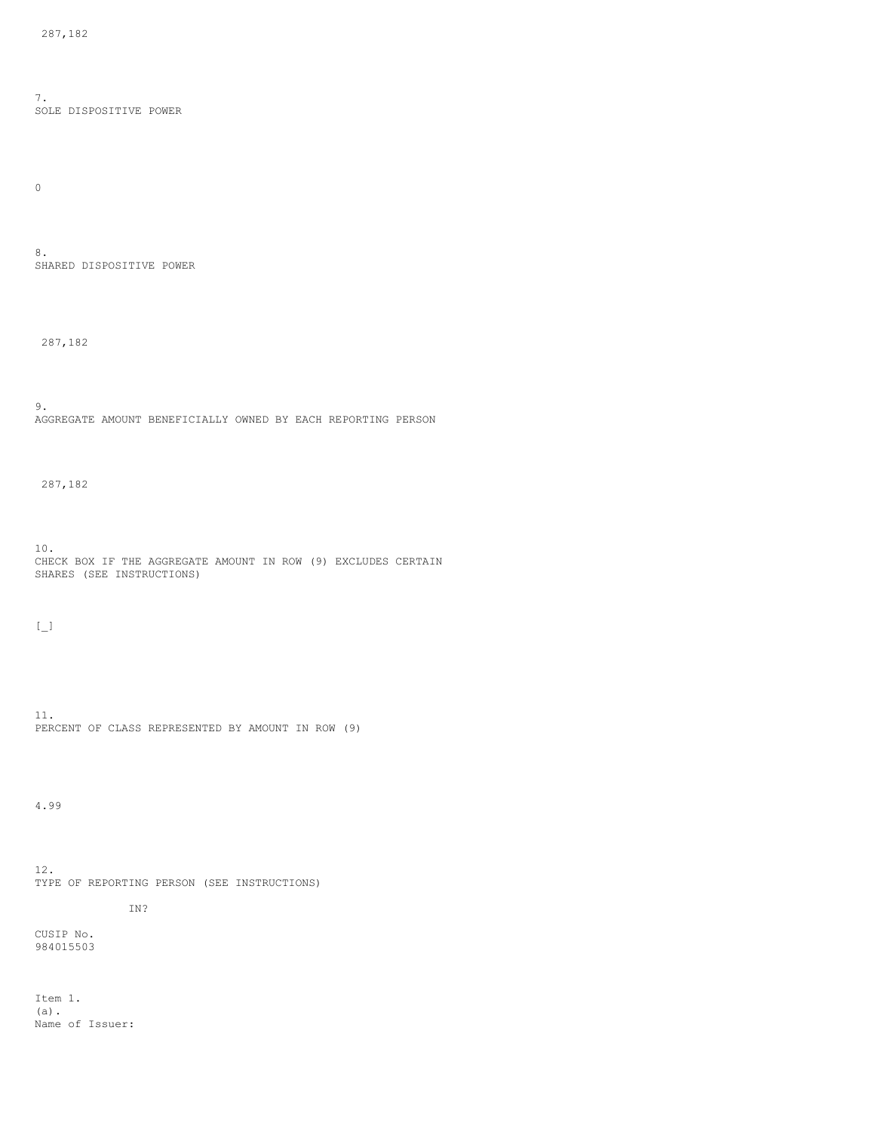7. SOLE DISPOSITIVE POWER

 $\hbox{O}$ 

8. SHARED DISPOSITIVE POWER

287,182

9. AGGREGATE AMOUNT BENEFICIALLY OWNED BY EACH REPORTING PERSON

287,182

10. CHECK BOX IF THE AGGREGATE AMOUNT IN ROW (9) EXCLUDES CERTAIN SHARES (SEE INSTRUCTIONS)

 $[\underline{\phantom{a}}]$ 

11. PERCENT OF CLASS REPRESENTED BY AMOUNT IN ROW (9)

4.99

12. TYPE OF REPORTING PERSON (SEE INSTRUCTIONS)

IN?

CUSIP No. 984015503

Item 1. (a). Name of Issuer: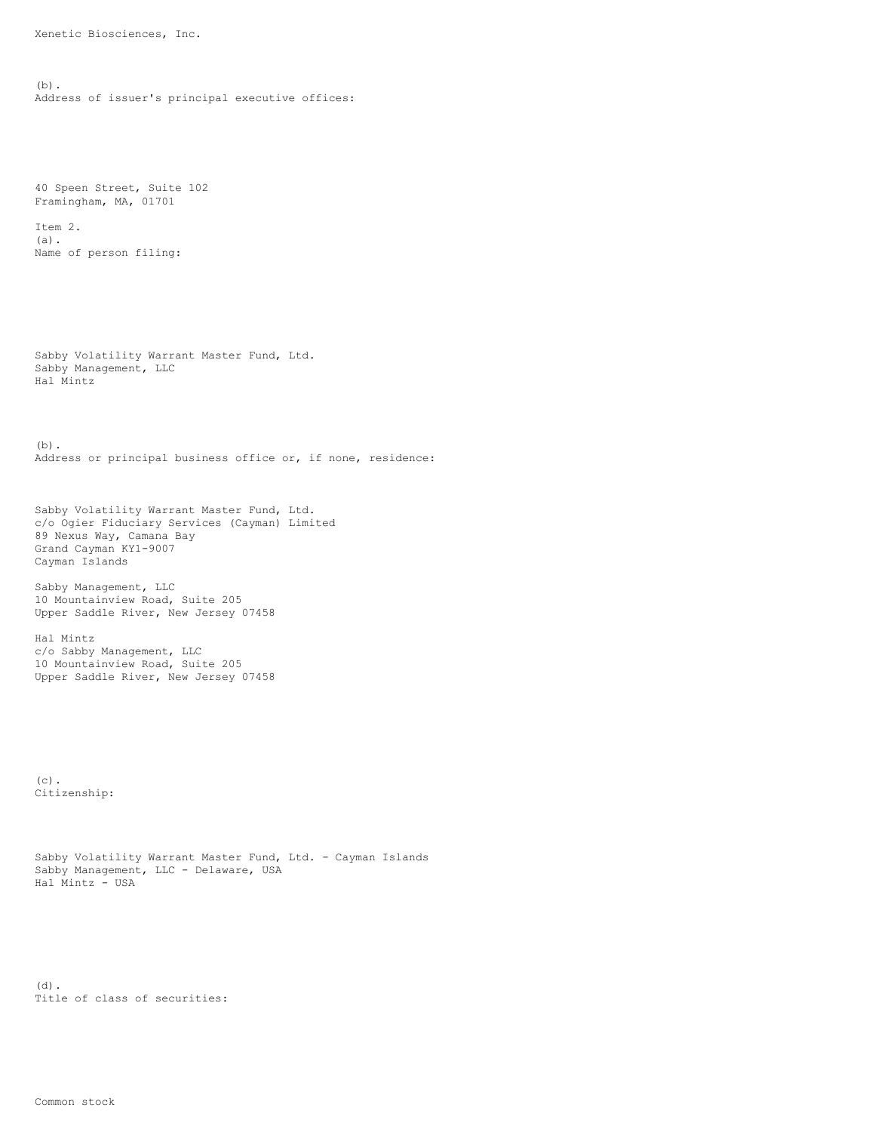Xenetic Biosciences, Inc.

(b). Address of issuer's principal executive offices:

40 Speen Street, Suite 102 Framingham, MA, 01701

Item 2. (a). Name of person filing:

Sabby Volatility Warrant Master Fund, Ltd. Sabby Management, LLC Hal Mintz

(b). Address or principal business office or, if none, residence:

Sabby Volatility Warrant Master Fund, Ltd. c/o Ogier Fiduciary Services (Cayman) Limited 89 Nexus Way, Camana Bay Grand Cayman KY1-9007 Cayman Islands

Sabby Management, LLC 10 Mountainview Road, Suite 205 Upper Saddle River, New Jersey 07458

Hal Mintz c/o Sabby Management, LLC 10 Mountainview Road, Suite 205 Upper Saddle River, New Jersey 07458

 $(c)$ . Citizenship:

```
Sabby Volatility Warrant Master Fund, Ltd. - Cayman Islands
Sabby Management, LLC - Delaware, USA
Hal Mintz - USA
```
(d). Title of class of securities: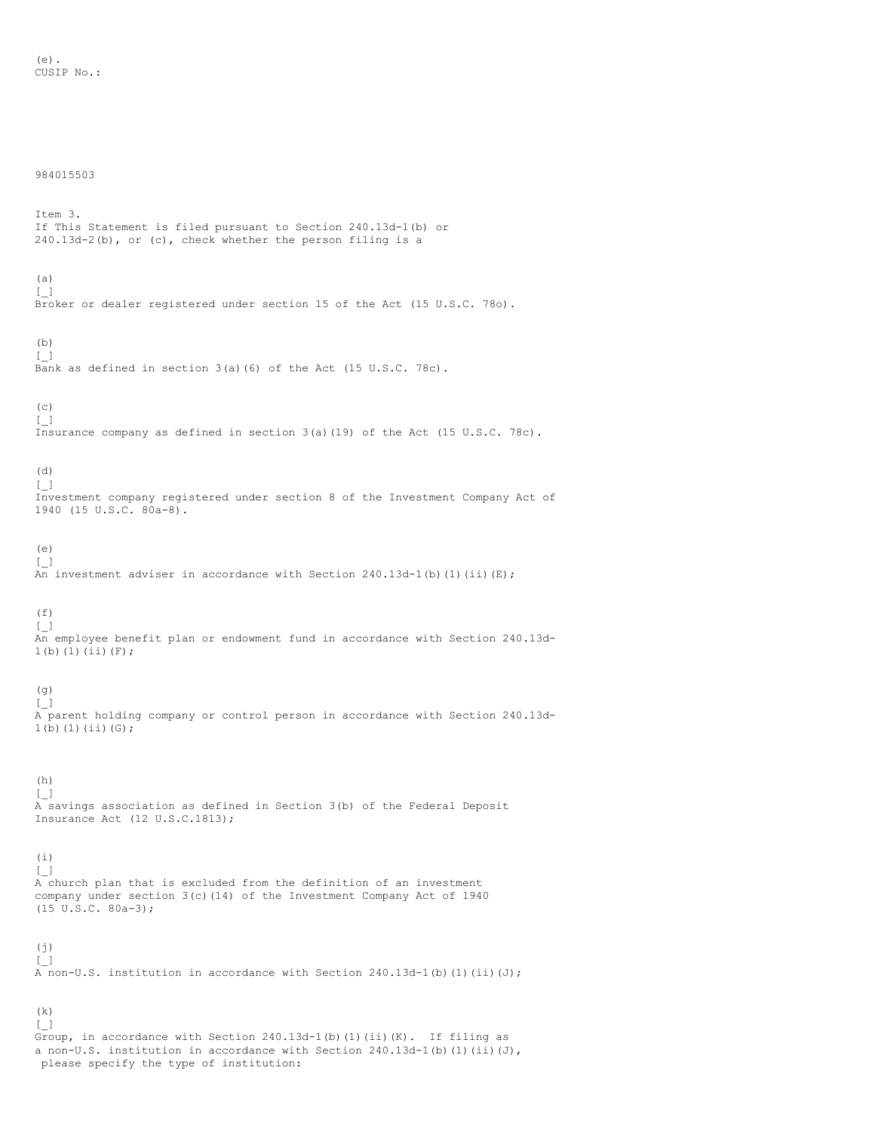### 984015503

Item 3. If This Statement is filed pursuant to Section 240.13d-1(b) or 240.13d-2(b), or (c), check whether the person filing is a

# (a)

 $[\ ]$ Broker or dealer registered under section 15 of the Act (15 U.S.C. 78o).

## (b)

 $[\ ]$ Bank as defined in section 3(a)(6) of the Act (15 U.S.C. 78c).

#### (c)  $[$   $]$

Insurance company as defined in section 3(a)(19) of the Act (15 U.S.C. 78c).

### (d) [\_]

Investment company registered under section 8 of the Investment Company Act of 1940 (15 U.S.C. 80a-8).

# (e)

 $[\ ]$  $\overline{An}$  investment adviser in accordance with Section 240.13d-1(b)(1)(ii)(E);

#### $(f)$  $[$   $]$

An employee benefit plan or endowment fund in accordance with Section 240.13d-1(b)(1)(ii)(F);

# (g)

[\_] A parent holding company or control person in accordance with Section 240.13d- $1(b)(1)(ii)(G);$ 

## (h)

[\_] A savings association as defined in Section 3(b) of the Federal Deposit Insurance Act (12 U.S.C.1813);

### (i) [\_]

A church plan that is excluded from the definition of an investment company under section 3(c)(14) of the Investment Company Act of 1940 (15 U.S.C. 80a-3);

#### $(j)$  $\Box$

A non-U.S. institution in accordance with Section 240.13d-1(b)(1)(ii)(J);

#### (k)  $[\ ]$

Group, in accordance with Section 240.13d-1(b)(1)(ii)(K). If filing as a non-U.S. institution in accordance with Section  $240.13d-1$  (b) (1) (ii)(J), please specify the type of institution: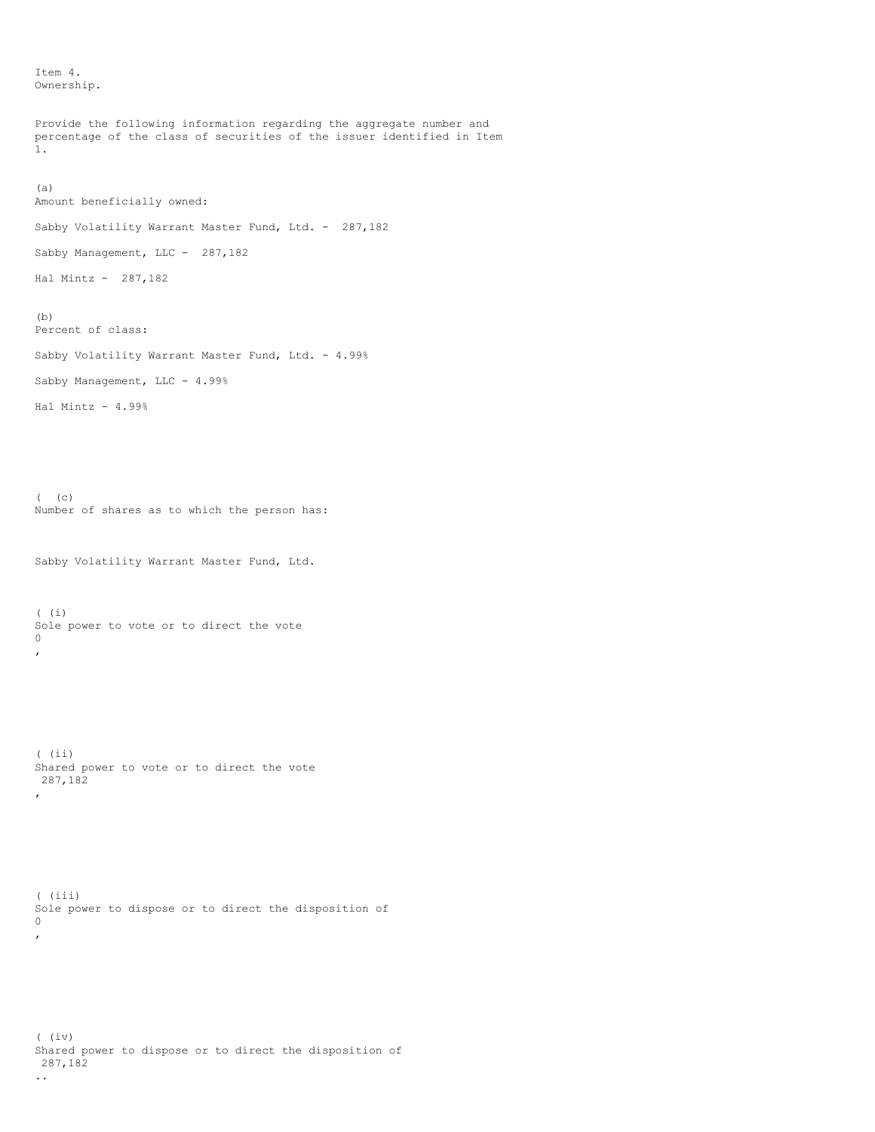Item 4. Ownership.

```
Provide the following information regarding the aggregate number and
percentage of the class of securities of the issuer identified in Item
1.
(a)
Amount beneficially owned:
Sabby Volatility Warrant Master Fund, Ltd. - 287,182
Sabby Management, LLC - 287,182
Hal Mintz - 287,182
(b)
Percent of class:
Sabby Volatility Warrant Master Fund, Ltd. - 4.99%
Sabby Management, LLC - 4.99%
Hal Mintz - 4.99%
( (c)
Number of shares as to which the person has:
Sabby Volatility Warrant Master Fund, Ltd.
( (i)
Sole power to vote or to direct the vote
0
,
( (ii)
Shared power to vote or to direct the vote
287,182
,
( (iii)
Sole power to dispose or to direct the disposition of
0
,
( (iv)
Shared power to dispose or to direct the disposition of
287,182
```
..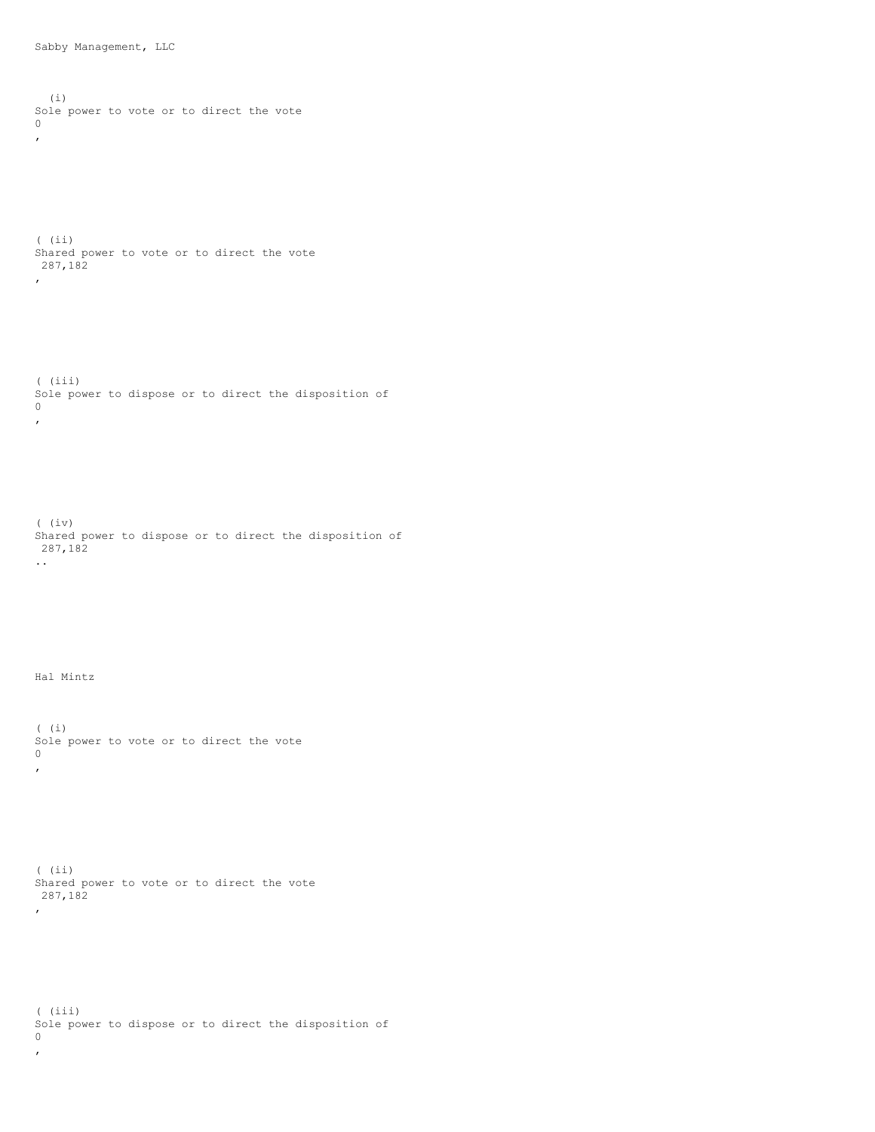```
(i)
Sole power to vote or to direct the vote
0
,
( (ii)
Shared power to vote or to direct the vote
287,182
,
( (iii)
Sole power to dispose or to direct the disposition of
0
,
( \left( \begin{smallmatrix} \cdot & \cdot & \cdot \\ \cdot & \cdot & \cdot & \cdot \end{smallmatrix} \right)Shared power to dispose or to direct the disposition of
287,182
..
Hal Mintz
( (i)
Sole power to vote or to direct the vote
0
\mathbf{r}( (ii)
Shared power to vote or to direct the vote
287,182
,
( (iii)
Sole power to dispose or to direct the disposition of
0
,
```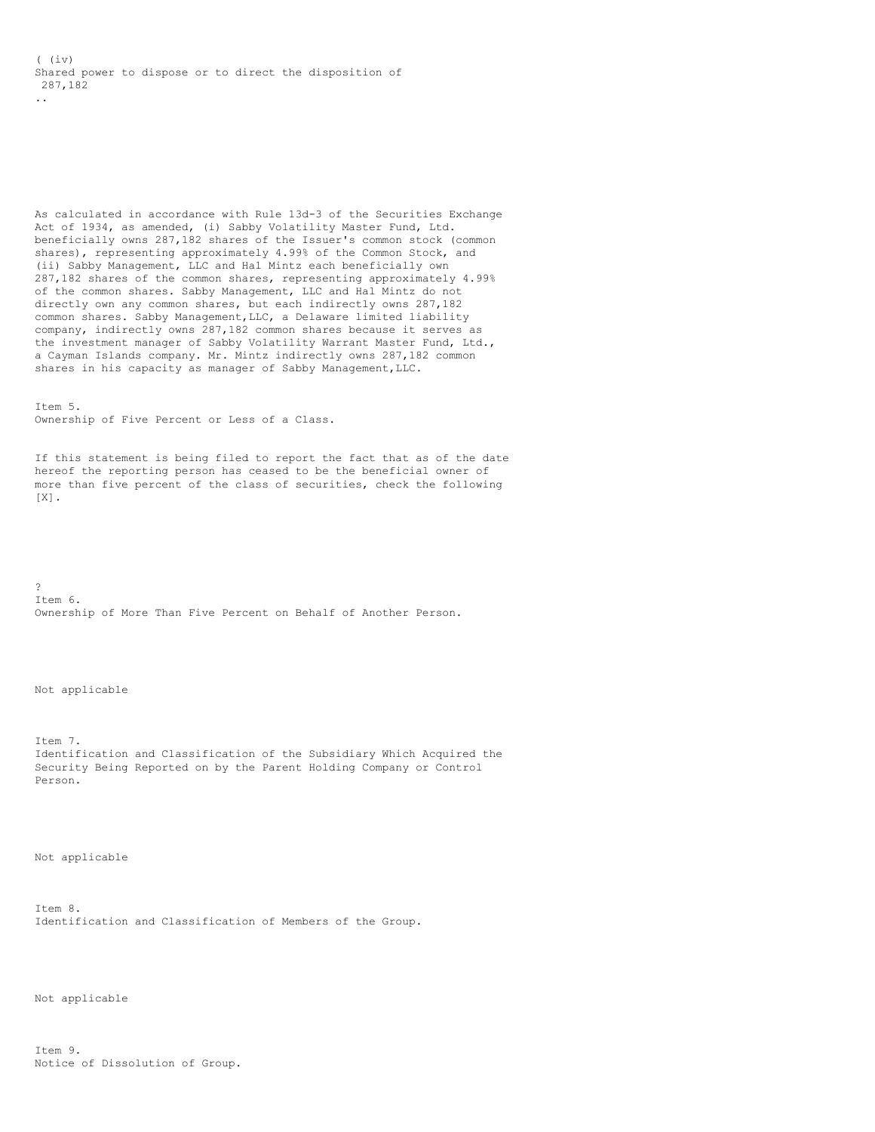( (iv) Shared power to dispose or to direct the disposition of 287,182 ..

As calculated in accordance with Rule 13d-3 of the Securities Exchange Act of 1934, as amended, (i) Sabby Volatility Master Fund, Ltd. beneficially owns 287,182 shares of the Issuer's common stock (common shares), representing approximately 4.99% of the Common Stock, and (ii) Sabby Management, LLC and Hal Mintz each beneficially own 287,182 shares of the common shares, representing approximately 4.99% of the common shares. Sabby Management, LLC and Hal Mintz do not directly own any common shares, but each indirectly owns 287,182 common shares. Sabby Management,LLC, a Delaware limited liability company, indirectly owns 287,182 common shares because it serves as the investment manager of Sabby Volatility Warrant Master Fund, Ltd., a Cayman Islands company. Mr. Mintz indirectly owns 287,182 common shares in his capacity as manager of Sabby Management, LLC.

Item 5. Ownership of Five Percent or Less of a Class.

If this statement is being filed to report the fact that as of the date hereof the reporting person has ceased to be the beneficial owner of more than five percent of the class of securities, check the following [X].

? Item 6. Ownership of More Than Five Percent on Behalf of Another Person.

Not applicable

Item 7. Identification and Classification of the Subsidiary Which Acquired the Security Being Reported on by the Parent Holding Company or Control Person.

Not applicable

Item 8. Identification and Classification of Members of the Group.

Not applicable

 $T+em$  9. Notice of Dissolution of Group.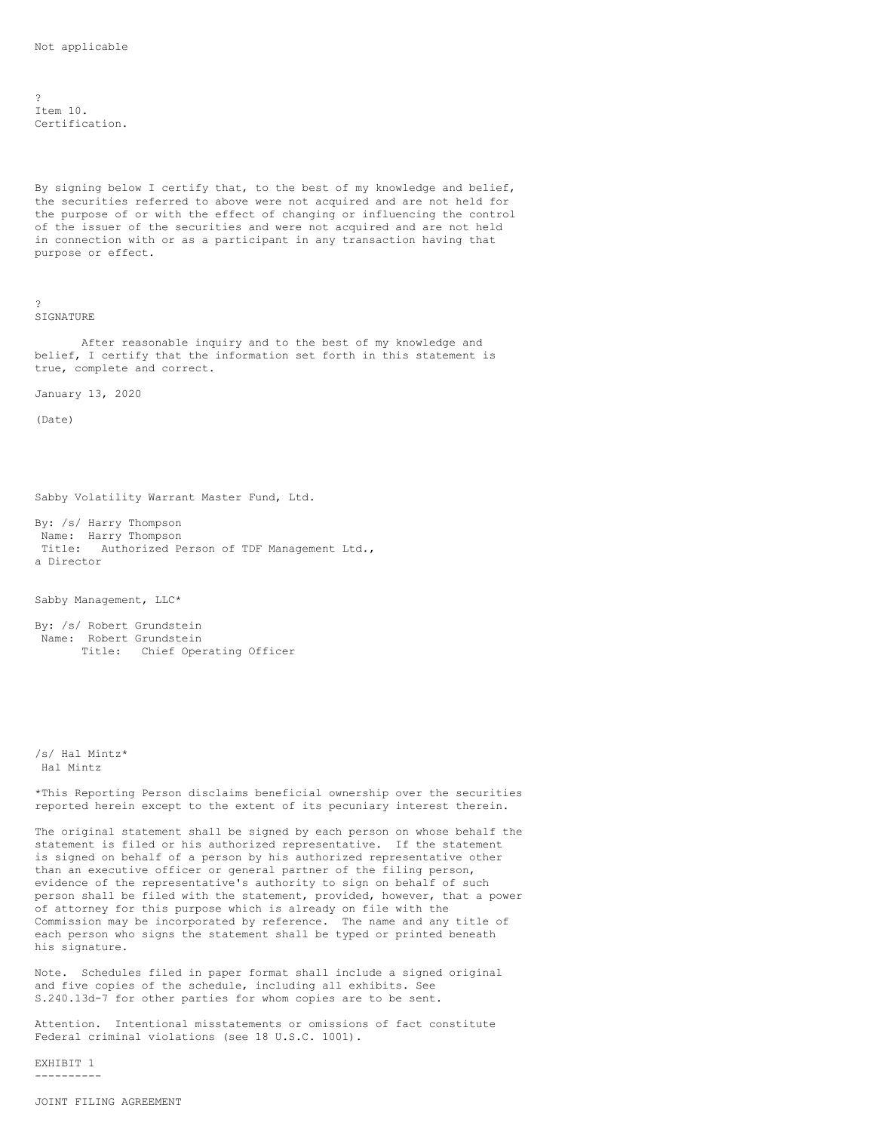?  $Item 10.$ Certification.

By signing below I certify that, to the best of my knowledge and belief, the securities referred to above were not acquired and are not held for the purpose of or with the effect of changing or influencing the control of the issuer of the securities and were not acquired and are not held in connection with or as a participant in any transaction having that purpose or effect.

?

SIGNATURE

After reasonable inquiry and to the best of my knowledge and belief, I certify that the information set forth in this statement is true, complete and correct.

January 13, 2020

(Date)

Sabby Volatility Warrant Master Fund, Ltd.

By: /s/ Harry Thompson Name: Harry Thompson Title: Authorized Person of TDF Management Ltd., a Director

Sabby Management, LLC\*

By: /s/ Robert Grundstein Name: Robert Grundstein Title: Chief Operating Officer

/s/ Hal Mintz\* Hal Mintz

\*This Reporting Person disclaims beneficial ownership over the securities reported herein except to the extent of its pecuniary interest therein.

The original statement shall be signed by each person on whose behalf the statement is filed or his authorized representative. If the statement is signed on behalf of a person by his authorized representative other than an executive officer or general partner of the filing person, evidence of the representative's authority to sign on behalf of such person shall be filed with the statement, provided, however, that a power of attorney for this purpose which is already on file with the Commission may be incorporated by reference. The name and any title of each person who signs the statement shall be typed or printed beneath his signature.

Note. Schedules filed in paper format shall include a signed original and five copies of the schedule, including all exhibits. See S.240.13d-7 for other parties for whom copies are to be sent.

Attention. Intentional misstatements or omissions of fact constitute Federal criminal violations (see 18 U.S.C. 1001).

EXHIBIT 1 ----------